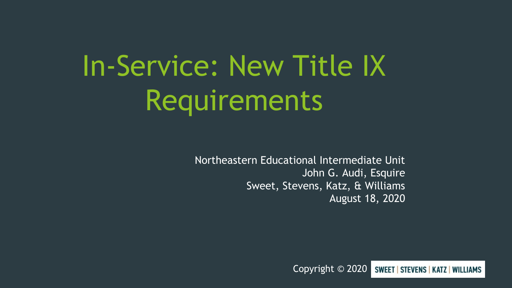# In-Service: New Title IX Requirements

Northeastern Educational Intermediate Unit John G. Audi, Esquire Sweet, Stevens, Katz, & Williams August 18, 2020

> Copyright © 2020 **SWEET | STEVENS | KATZ | WILLIAMS**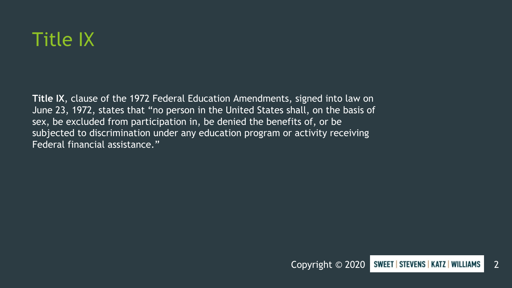

**Title IX**, clause of the 1972 Federal Education Amendments, signed into law on June 23, 1972, states that "no person in the United States shall, on the basis of sex, be excluded from participation in, be denied the benefits of, or be subjected to discrimination under any education program or activity receiving Federal financial assistance."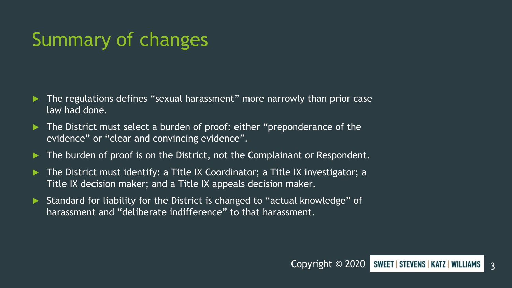## Summary of changes

- The regulations defines "sexual harassment" more narrowly than prior case law had done.
- ▶ The District must select a burden of proof: either "preponderance of the evidence" or "clear and convincing evidence".
- ▶ The burden of proof is on the District, not the Complainant or Respondent.
- The District must identify: a Title IX Coordinator; a Title IX investigator; a Title IX decision maker; and a Title IX appeals decision maker.
- Standard for liability for the District is changed to "actual knowledge" of harassment and "deliberate indifference" to that harassment.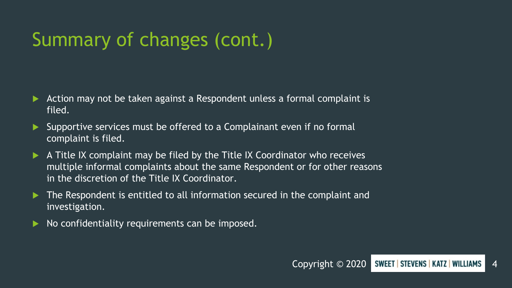# Summary of changes (cont.)

- Action may not be taken against a Respondent unless a formal complaint is filed.
- Supportive services must be offered to a Complainant even if no formal complaint is filed.
- A Title IX complaint may be filed by the Title IX Coordinator who receives multiple informal complaints about the same Respondent or for other reasons in the discretion of the Title IX Coordinator.
- ▶ The Respondent is entitled to all information secured in the complaint and investigation.
- No confidentiality requirements can be imposed.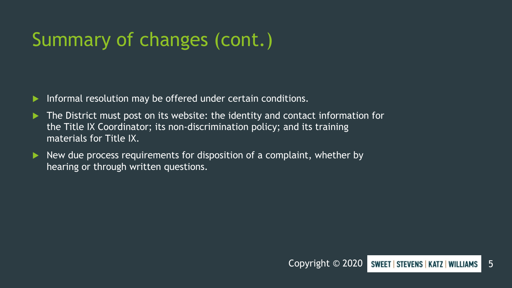# Summary of changes (cont.)

- **Informal resolution may be offered under certain conditions.**
- The District must post on its website: the identity and contact information for the Title IX Coordinator; its non-discrimination policy; and its training materials for Title IX.
- $\blacktriangleright$  New due process requirements for disposition of a complaint, whether by hearing or through written questions.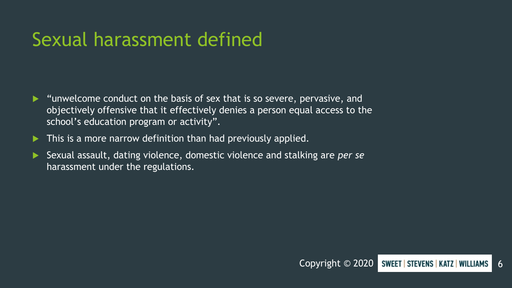#### Sexual harassment defined

- "unwelcome conduct on the basis of sex that is so severe, pervasive, and objectively offensive that it effectively denies a person equal access to the school's education program or activity".
- **This is a more narrow definition than had previously applied.**
- Sexual assault, dating violence, domestic violence and stalking are *per se* harassment under the regulations.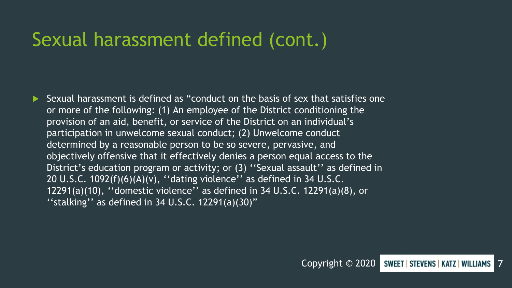#### Sexual harassment defined (cont.)

 Sexual harassment is defined as "conduct on the basis of sex that satisfies one or more of the following: (1) An employee of the District conditioning the provision of an aid, benefit, or service of the District on an individual's participation in unwelcome sexual conduct; (2) Unwelcome conduct determined by a reasonable person to be so severe, pervasive, and objectively offensive that it effectively denies a person equal access to the District's education program or activity; or (3) "Sexual assault" as defined in 20 U.S.C. 1092(f)(6)(A)(v), ''dating violence'' as defined in 34 U.S.C. 12291(a)(10), ''domestic violence'' as defined in 34 U.S.C. 12291(a)(8), or "stalking" as defined in 34 U.S.C.  $12291(a)(30)$ "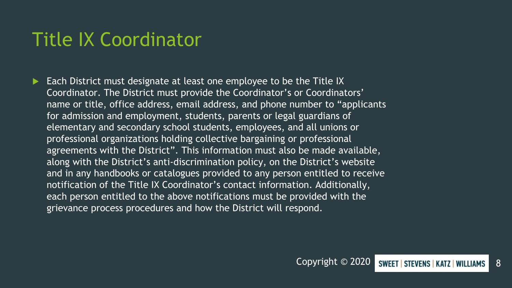#### Title IX Coordinator

 Each District must designate at least one employee to be the Title IX Coordinator. The District must provide the Coordinator's or Coordinators' name or title, office address, email address, and phone number to "applicants for admission and employment, students, parents or legal guardians of elementary and secondary school students, employees, and all unions or professional organizations holding collective bargaining or professional agreements with the District". This information must also be made available, along with the District's anti-discrimination policy, on the District's website and in any handbooks or catalogues provided to any person entitled to receive notification of the Title IX Coordinator's contact information. Additionally, each person entitled to the above notifications must be provided with the grievance process procedures and how the District will respond.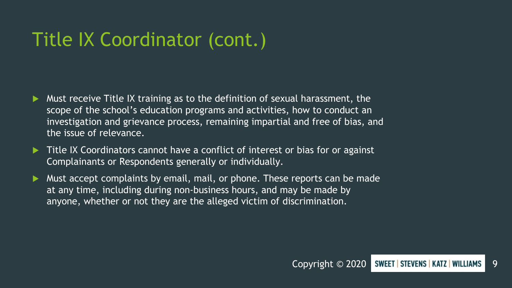### Title IX Coordinator (cont.)

- Must receive Title IX training as to the definition of sexual harassment, the scope of the school's education programs and activities, how to conduct an investigation and grievance process, remaining impartial and free of bias, and the issue of relevance.
- Title IX Coordinators cannot have a conflict of interest or bias for or against Complainants or Respondents generally or individually.
- Must accept complaints by email, mail, or phone. These reports can be made at any time, including during non-business hours, and may be made by anyone, whether or not they are the alleged victim of discrimination.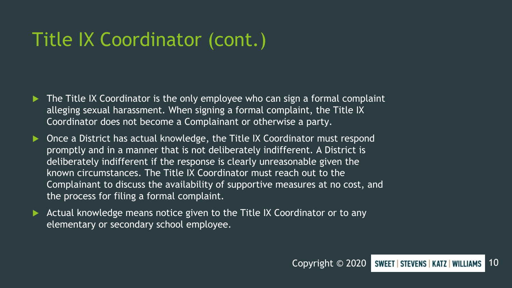#### Title IX Coordinator (cont.)

- The Title IX Coordinator is the only employee who can sign a formal complaint alleging sexual harassment. When signing a formal complaint, the Title IX Coordinator does not become a Complainant or otherwise a party.
- Once a District has actual knowledge, the Title IX Coordinator must respond promptly and in a manner that is not deliberately indifferent. A District is deliberately indifferent if the response is clearly unreasonable given the known circumstances. The Title IX Coordinator must reach out to the Complainant to discuss the availability of supportive measures at no cost, and the process for filing a formal complaint.
- Actual knowledge means notice given to the Title IX Coordinator or to any elementary or secondary school employee.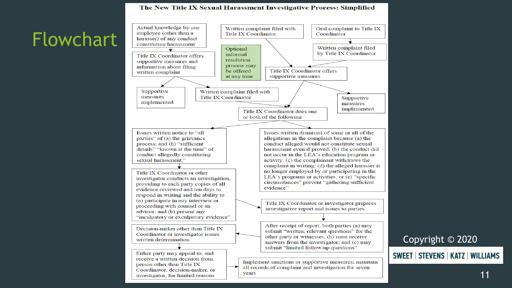#### The New Title IX Sexual Harassment Investigative Process: Simplified



11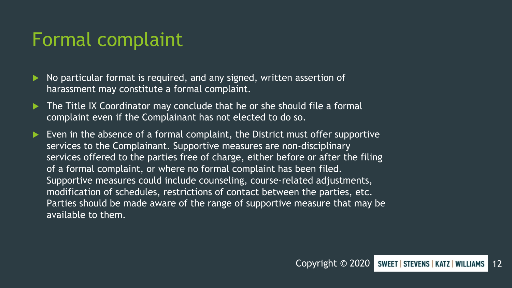#### Formal complaint

- No particular format is required, and any signed, written assertion of harassment may constitute a formal complaint.
- The Title IX Coordinator may conclude that he or she should file a formal complaint even if the Complainant has not elected to do so.
- Even in the absence of a formal complaint, the District must offer supportive services to the Complainant. Supportive measures are non-disciplinary services offered to the parties free of charge, either before or after the filing of a formal complaint, or where no formal complaint has been filed. Supportive measures could include counseling, course-related adjustments, modification of schedules, restrictions of contact between the parties, etc. Parties should be made aware of the range of supportive measure that may be available to them.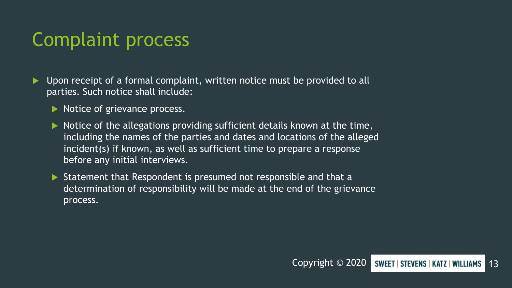#### Complaint process

- $\blacktriangleright$  Upon receipt of a formal complaint, written notice must be provided to all parties. Such notice shall include:
	- Notice of grievance process.
	- $\blacktriangleright$  Notice of the allegations providing sufficient details known at the time, including the names of the parties and dates and locations of the alleged incident(s) if known, as well as sufficient time to prepare a response before any initial interviews.
	- Statement that Respondent is presumed not responsible and that a determination of responsibility will be made at the end of the grievance process.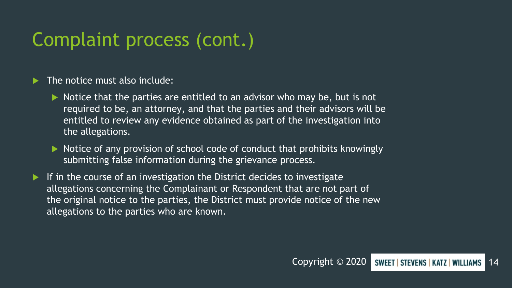#### Complaint process (cont.)

#### The notice must also include:

- $\triangleright$  Notice that the parties are entitled to an advisor who may be, but is not required to be, an attorney, and that the parties and their advisors will be entitled to review any evidence obtained as part of the investigation into the allegations.
- $\triangleright$  Notice of any provision of school code of conduct that prohibits knowingly submitting false information during the grievance process.
- If in the course of an investigation the District decides to investigate allegations concerning the Complainant or Respondent that are not part of the original notice to the parties, the District must provide notice of the new allegations to the parties who are known.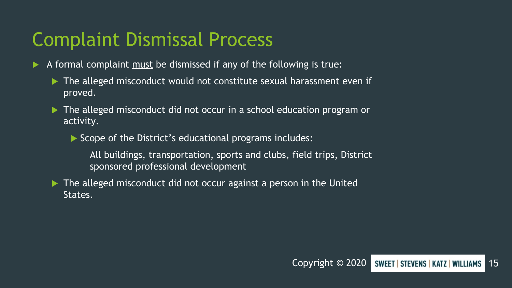#### Complaint Dismissal Process

- A formal complaint must be dismissed if any of the following is true:
	- The alleged misconduct would not constitute sexual harassment even if proved.
	- ▶ The alleged misconduct did not occur in a school education program or activity.
		- Scope of the District's educational programs includes:
			- All buildings, transportation, sports and clubs, field trips, District sponsored professional development
	- ▶ The alleged misconduct did not occur against a person in the United States.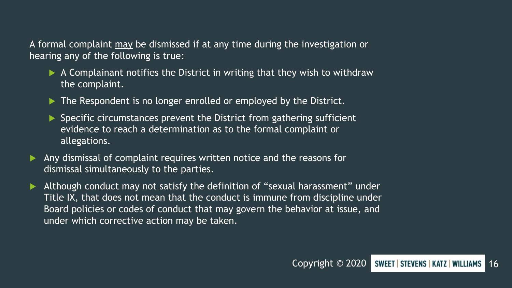A formal complaint may be dismissed if at any time during the investigation or hearing any of the following is true:

- $\blacktriangleright$  A Complainant notifies the District in writing that they wish to withdraw the complaint.
- ▶ The Respondent is no longer enrolled or employed by the District.
- $\triangleright$  Specific circumstances prevent the District from gathering sufficient evidence to reach a determination as to the formal complaint or allegations.
- Any dismissal of complaint requires written notice and the reasons for dismissal simultaneously to the parties.
- Although conduct may not satisfy the definition of "sexual harassment" under Title IX, that does not mean that the conduct is immune from discipline under Board policies or codes of conduct that may govern the behavior at issue, and under which corrective action may be taken.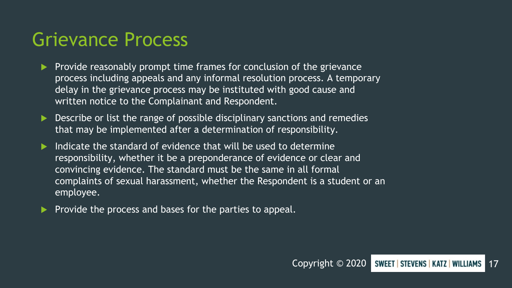#### Grievance Process

- Provide reasonably prompt time frames for conclusion of the grievance process including appeals and any informal resolution process. A temporary delay in the grievance process may be instituted with good cause and written notice to the Complainant and Respondent.
- Describe or list the range of possible disciplinary sanctions and remedies that may be implemented after a determination of responsibility.
- Indicate the standard of evidence that will be used to determine responsibility, whether it be a preponderance of evidence or clear and convincing evidence. The standard must be the same in all formal complaints of sexual harassment, whether the Respondent is a student or an employee.
- Provide the process and bases for the parties to appeal.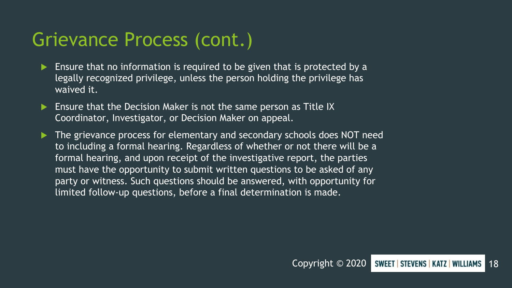#### Grievance Process (cont.)

- Ensure that no information is required to be given that is protected by a legally recognized privilege, unless the person holding the privilege has waived it.
- Ensure that the Decision Maker is not the same person as Title IX Coordinator, Investigator, or Decision Maker on appeal.
- The grievance process for elementary and secondary schools does NOT need to including a formal hearing. Regardless of whether or not there will be a formal hearing, and upon receipt of the investigative report, the parties must have the opportunity to submit written questions to be asked of any party or witness. Such questions should be answered, with opportunity for limited follow-up questions, before a final determination is made.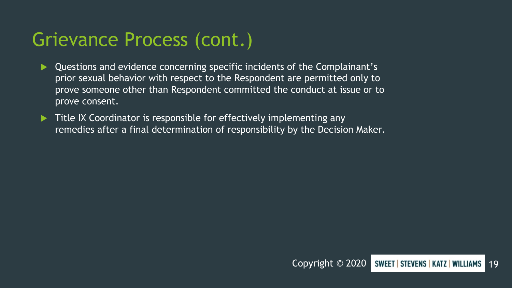#### Grievance Process (cont.)

- Questions and evidence concerning specific incidents of the Complainant's prior sexual behavior with respect to the Respondent are permitted only to prove someone other than Respondent committed the conduct at issue or to prove consent.
- Title IX Coordinator is responsible for effectively implementing any remedies after a final determination of responsibility by the Decision Maker.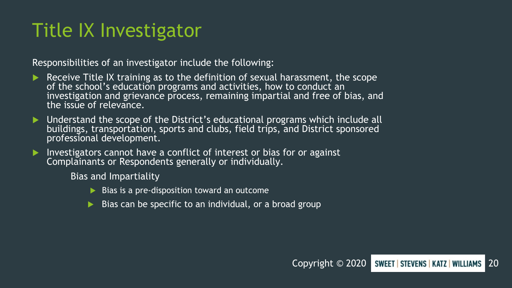#### Title IX Investigator

Responsibilities of an investigator include the following:

- Receive Title IX training as to the definition of sexual harassment, the scope of the school's education programs and activities, how to conduct an investigation and grievance process, remaining impartial and free of bias, and the issue of relevance.
- Understand the scope of the District's educational programs which include all buildings, transportation, sports and clubs, field trips, and District sponsored professional development.
- Investigators cannot have a conflict of interest or bias for or against Complainants or Respondents generally or individually.

Bias and Impartiality

- $\triangleright$  Bias is a pre-disposition toward an outcome
- Bias can be specific to an individual, or a broad group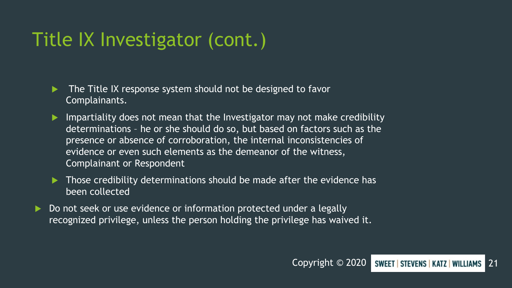- $\blacktriangleright$  The Title IX response system should not be designed to favor Complainants.
- $\blacktriangleright$  Impartiality does not mean that the Investigator may not make credibility determinations – he or she should do so, but based on factors such as the presence or absence of corroboration, the internal inconsistencies of evidence or even such elements as the demeanor of the witness, Complainant or Respondent
- $\blacktriangleright$  Those credibility determinations should be made after the evidence has been collected
- Do not seek or use evidence or information protected under a legally recognized privilege, unless the person holding the privilege has waived it.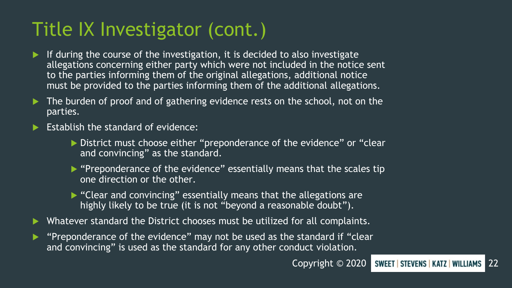- If during the course of the investigation, it is decided to also investigate allegations concerning either party which were not included in the notice sent to the parties informing them of the original allegations, additional notice must be provided to the parties informing them of the additional allegations.
- The burden of proof and of gathering evidence rests on the school, not on the parties.
- Establish the standard of evidence:
	- District must choose either "preponderance of the evidence" or "clear and convincing" as the standard.
	- $\triangleright$  "Preponderance of the evidence" essentially means that the scales tip one direction or the other.
	- ▶ "Clear and convincing" essentially means that the allegations are highly likely to be true (it is not "beyond a reasonable doubt").
- Whatever standard the District chooses must be utilized for all complaints.
- "Preponderance of the evidence" may not be used as the standard if "clear and convincing" is used as the standard for any other conduct violation.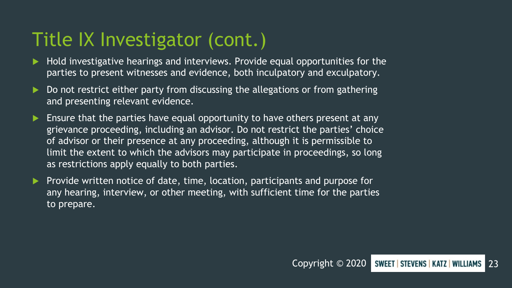- Hold investigative hearings and interviews. Provide equal opportunities for the parties to present witnesses and evidence, both inculpatory and exculpatory.
- Do not restrict either party from discussing the allegations or from gathering and presenting relevant evidence.
- **Ensure that the parties have equal opportunity to have others present at any** grievance proceeding, including an advisor. Do not restrict the parties' choice of advisor or their presence at any proceeding, although it is permissible to limit the extent to which the advisors may participate in proceedings, so long as restrictions apply equally to both parties.
- Provide written notice of date, time, location, participants and purpose for any hearing, interview, or other meeting, with sufficient time for the parties to prepare.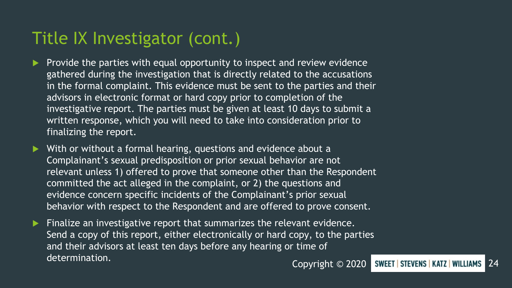- Provide the parties with equal opportunity to inspect and review evidence gathered during the investigation that is directly related to the accusations in the formal complaint. This evidence must be sent to the parties and their advisors in electronic format or hard copy prior to completion of the investigative report. The parties must be given at least 10 days to submit a written response, which you will need to take into consideration prior to finalizing the report.
- With or without a formal hearing, questions and evidence about a Complainant's sexual predisposition or prior sexual behavior are not relevant unless 1) offered to prove that someone other than the Respondent committed the act alleged in the complaint, or 2) the questions and evidence concern specific incidents of the Complainant's prior sexual behavior with respect to the Respondent and are offered to prove consent.
- Finalize an investigative report that summarizes the relevant evidence. Send a copy of this report, either electronically or hard copy, to the parties and their advisors at least ten days before any hearing or time of determination.<br>Copyright © 2020 SWEET STEVENS KATZ WILLIAMS 24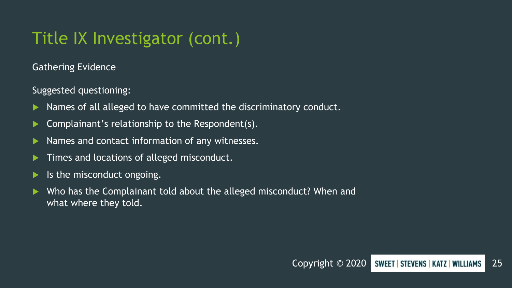Gathering Evidence

Suggested questioning:

- Names of all alleged to have committed the discriminatory conduct.
- Complainant's relationship to the Respondent(s).
- Names and contact information of any witnesses.
- Times and locations of alleged misconduct.
- Is the misconduct ongoing.
- Who has the Complainant told about the alleged misconduct? When and what where they told.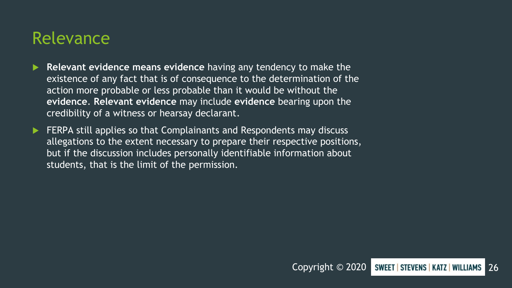#### Relevance

- **Relevant evidence means evidence** having any tendency to make the existence of any fact that is of consequence to the determination of the action more probable or less probable than it would be without the **evidence**. **Relevant evidence** may include **evidence** bearing upon the credibility of a witness or hearsay declarant.
- FERPA still applies so that Complainants and Respondents may discuss allegations to the extent necessary to prepare their respective positions, but if the discussion includes personally identifiable information about students, that is the limit of the permission.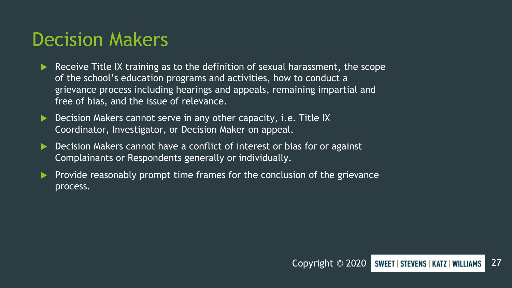#### Decision Makers

- Receive Title IX training as to the definition of sexual harassment, the scope of the school's education programs and activities, how to conduct a grievance process including hearings and appeals, remaining impartial and free of bias, and the issue of relevance.
- Decision Makers cannot serve in any other capacity, i.e. Title IX Coordinator, Investigator, or Decision Maker on appeal.
- Decision Makers cannot have a conflict of interest or bias for or against Complainants or Respondents generally or individually.
- Provide reasonably prompt time frames for the conclusion of the grievance process.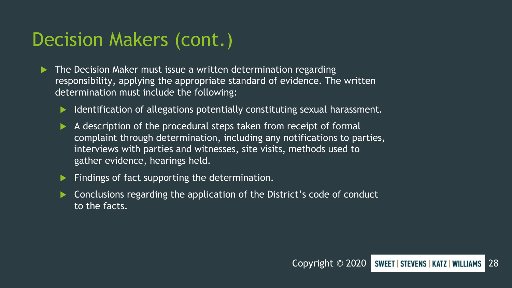#### Decision Makers (cont.)

- The Decision Maker must issue a written determination regarding responsibility, applying the appropriate standard of evidence. The written determination must include the following:
	- Identification of allegations potentially constituting sexual harassment.
	- $\blacktriangleright$  A description of the procedural steps taken from receipt of formal complaint through determination, including any notifications to parties, interviews with parties and witnesses, site visits, methods used to gather evidence, hearings held.

Findings of fact supporting the determination.

 Conclusions regarding the application of the District's code of conduct to the facts.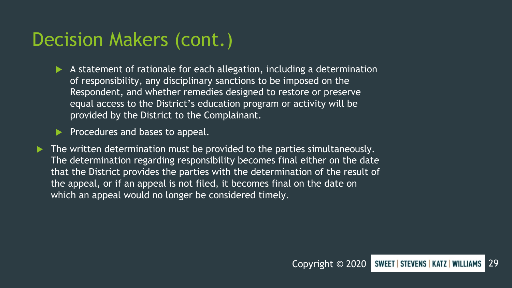#### Decision Makers (cont.)

- A statement of rationale for each allegation, including a determination of responsibility, any disciplinary sanctions to be imposed on the Respondent, and whether remedies designed to restore or preserve equal access to the District's education program or activity will be provided by the District to the Complainant.
- Procedures and bases to appeal.
- The written determination must be provided to the parties simultaneously. The determination regarding responsibility becomes final either on the date that the District provides the parties with the determination of the result of the appeal, or if an appeal is not filed, it becomes final on the date on which an appeal would no longer be considered timely.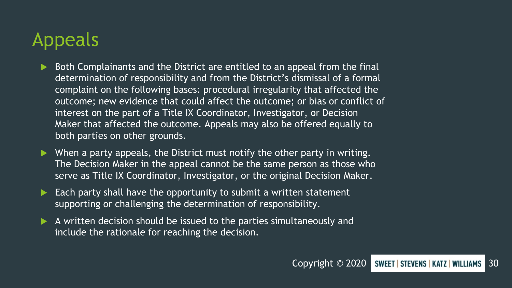### Appeals

- Both Complainants and the District are entitled to an appeal from the final determination of responsibility and from the District's dismissal of a formal complaint on the following bases: procedural irregularity that affected the outcome; new evidence that could affect the outcome; or bias or conflict of interest on the part of a Title IX Coordinator, Investigator, or Decision Maker that affected the outcome. Appeals may also be offered equally to both parties on other grounds.
- When a party appeals, the District must notify the other party in writing. The Decision Maker in the appeal cannot be the same person as those who serve as Title IX Coordinator, Investigator, or the original Decision Maker.
- Each party shall have the opportunity to submit a written statement supporting or challenging the determination of responsibility.
- A written decision should be issued to the parties simultaneously and include the rationale for reaching the decision.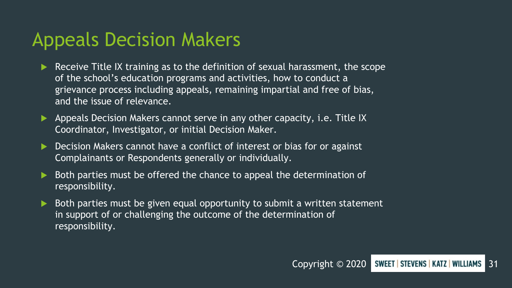#### Appeals Decision Makers

- Receive Title IX training as to the definition of sexual harassment, the scope of the school's education programs and activities, how to conduct a grievance process including appeals, remaining impartial and free of bias, and the issue of relevance.
- Appeals Decision Makers cannot serve in any other capacity, i.e. Title IX Coordinator, Investigator, or initial Decision Maker.
- Decision Makers cannot have a conflict of interest or bias for or against Complainants or Respondents generally or individually.
- Both parties must be offered the chance to appeal the determination of responsibility.
- Both parties must be given equal opportunity to submit a written statement in support of or challenging the outcome of the determination of responsibility.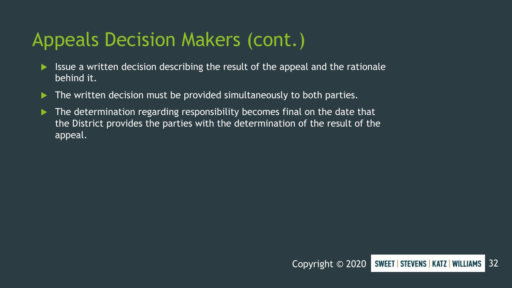#### Appeals Decision Makers (cont.)

- Issue a written decision describing the result of the appeal and the rationale behind it.
- The written decision must be provided simultaneously to both parties.
- The determination regarding responsibility becomes final on the date that the District provides the parties with the determination of the result of the appeal.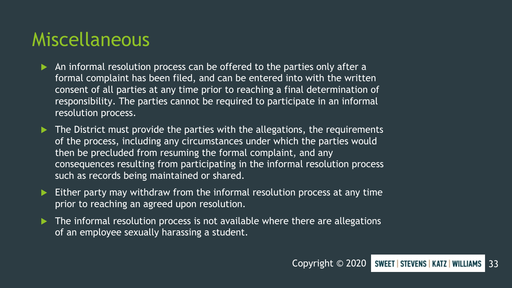#### Miscellaneous

- An informal resolution process can be offered to the parties only after a formal complaint has been filed, and can be entered into with the written consent of all parties at any time prior to reaching a final determination of responsibility. The parties cannot be required to participate in an informal resolution process.
- The District must provide the parties with the allegations, the requirements of the process, including any circumstances under which the parties would then be precluded from resuming the formal complaint, and any consequences resulting from participating in the informal resolution process such as records being maintained or shared.
- Either party may withdraw from the informal resolution process at any time prior to reaching an agreed upon resolution.
- The informal resolution process is not available where there are allegations of an employee sexually harassing a student.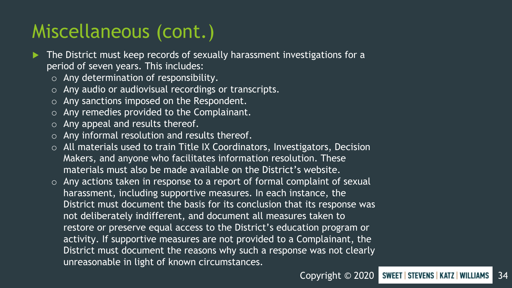#### Miscellaneous (cont.)

- The District must keep records of sexually harassment investigations for a period of seven years. This includes:
	- o Any determination of responsibility.
	- o Any audio or audiovisual recordings or transcripts.
	- o Any sanctions imposed on the Respondent.
	- o Any remedies provided to the Complainant.
	- o Any appeal and results thereof.
	- o Any informal resolution and results thereof.
	- o All materials used to train Title IX Coordinators, Investigators, Decision Makers, and anyone who facilitates information resolution. These materials must also be made available on the District's website.
	- o Any actions taken in response to a report of formal complaint of sexual harassment, including supportive measures. In each instance, the District must document the basis for its conclusion that its response was not deliberately indifferent, and document all measures taken to restore or preserve equal access to the District's education program or activity. If supportive measures are not provided to a Complainant, the District must document the reasons why such a response was not clearly unreasonable in light of known circumstances.